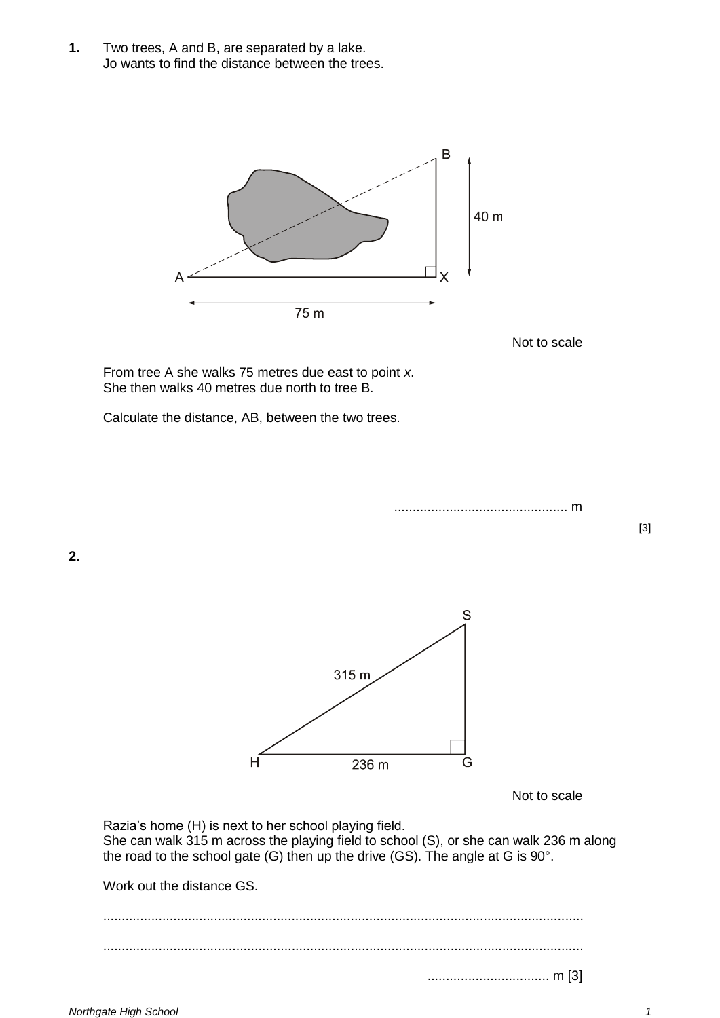**1.** Two trees, A and B, are separated by a lake. Jo wants to find the distance between the trees.



Not to scale

From tree A she walks 75 metres due east to point *x*. She then walks 40 metres due north to tree B.

Calculate the distance, AB, between the two trees.

............................................... m

[3]

**2.**



Not to scale

Razia's home (H) is next to her school playing field. She can walk 315 m across the playing field to school (S), or she can walk 236 m along the road to the school gate (G) then up the drive (GS). The angle at G is 90°.

Work out the distance GS.

.................................................................................................................................. .................................................................................................................................. ................................. m [3]

*Northgate High School 1*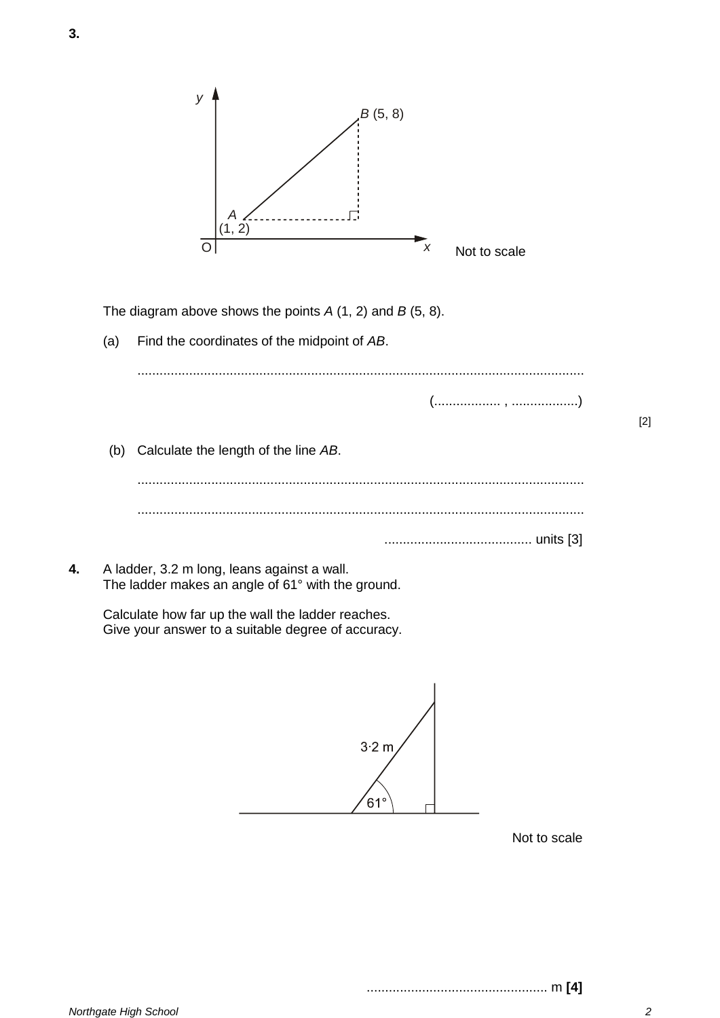

|    |                                                                                                  |                                                                                                         | (",") |
|----|--------------------------------------------------------------------------------------------------|---------------------------------------------------------------------------------------------------------|-------|
|    | (b)                                                                                              | Calculate the length of the line AB.                                                                    |       |
|    |                                                                                                  |                                                                                                         |       |
|    |                                                                                                  |                                                                                                         |       |
| 4. | A ladder, 3.2 m long, leans against a wall.<br>The ladder makes an angle of 61° with the ground. |                                                                                                         |       |
|    |                                                                                                  | Calculate how far up the wall the ladder reaches.<br>Give your answer to a suitable degree of accuracy. |       |
|    |                                                                                                  |                                                                                                         |       |

 $3.2 m$  $61^\circ$ 

Not to scale

**3.**

................................................. m **[4]**

[2]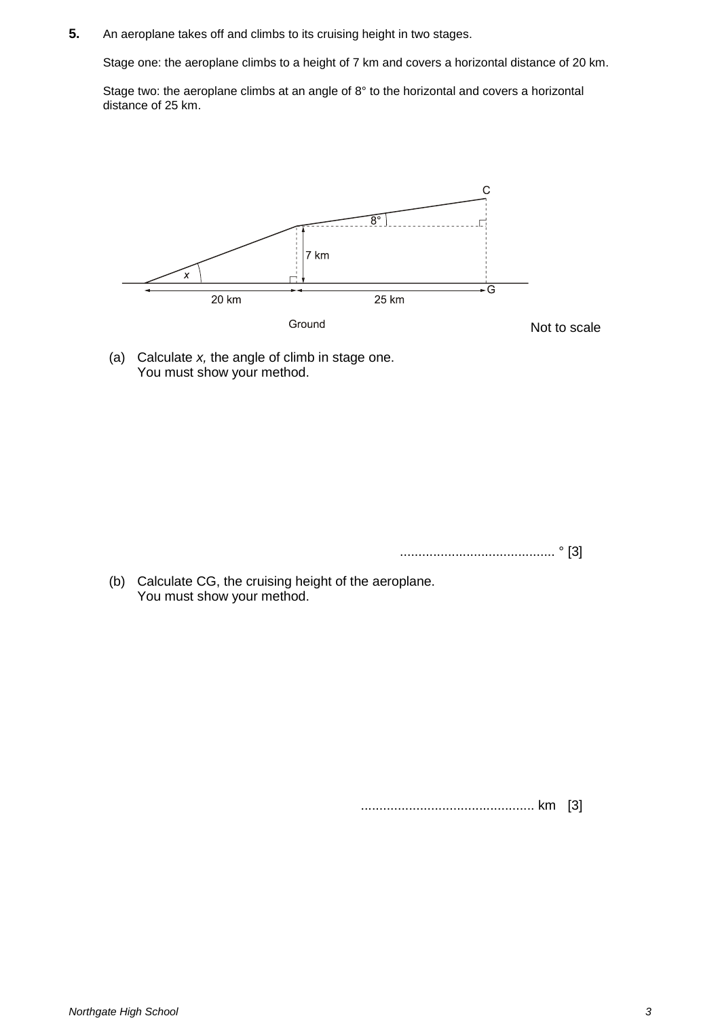**5.** An aeroplane takes off and climbs to its cruising height in two stages.

Stage one: the aeroplane climbs to a height of 7 km and covers a horizontal distance of 20 km.

Stage two: the aeroplane climbs at an angle of 8° to the horizontal and covers a horizontal distance of 25 km.



(a) Calculate *x,* the angle of climb in stage one. You must show your method.

.......................................... ° [3]

(b) Calculate CG, the cruising height of the aeroplane. You must show your method.

............................................... km [3]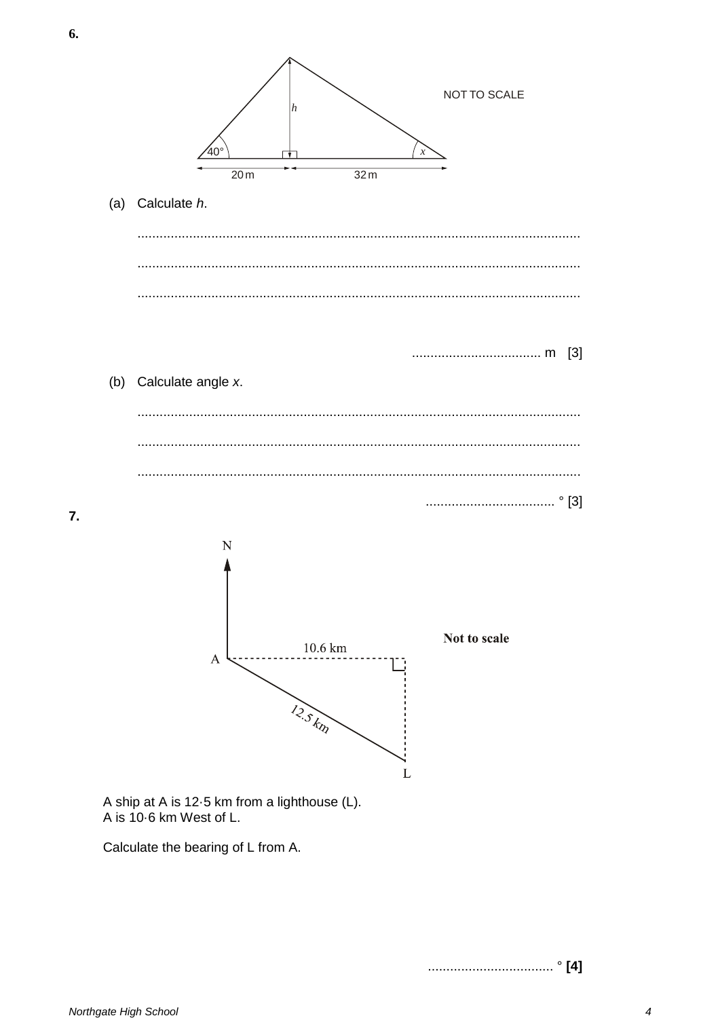

Calculate the bearing of L from A.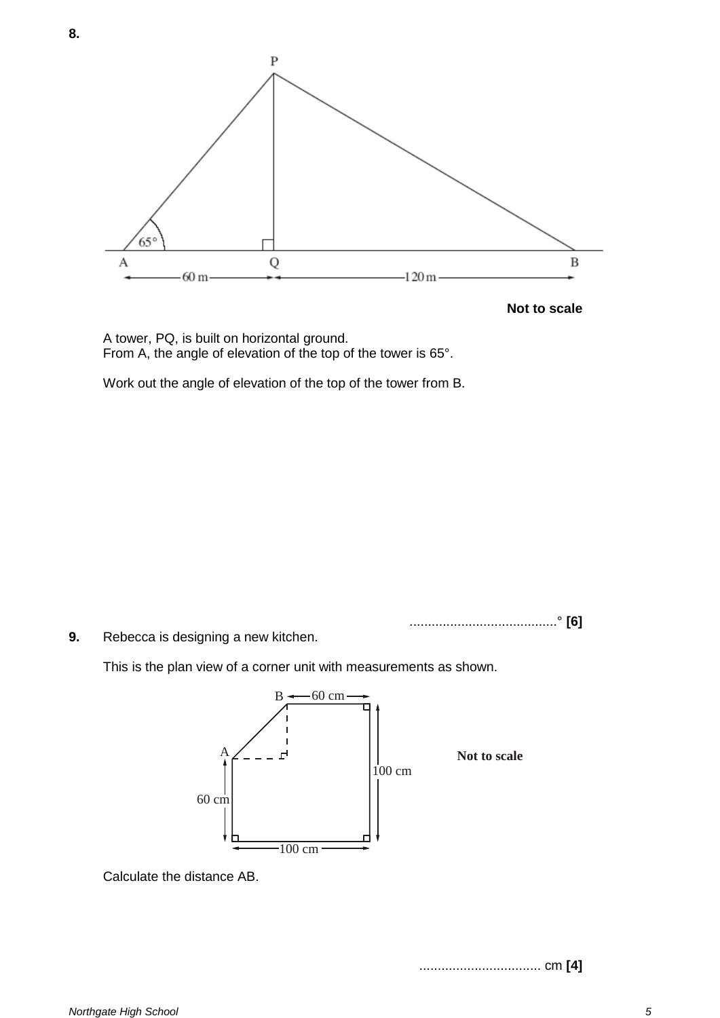

A tower, PQ, is built on horizontal ground. From A, the angle of elevation of the top of the tower is 65°.

Work out the angle of elevation of the top of the tower from B.

........................................° **[6]**

**9.** Rebecca is designing a new kitchen.

This is the plan view of a corner unit with measurements as shown.



Calculate the distance AB.

................................. cm **[4]**